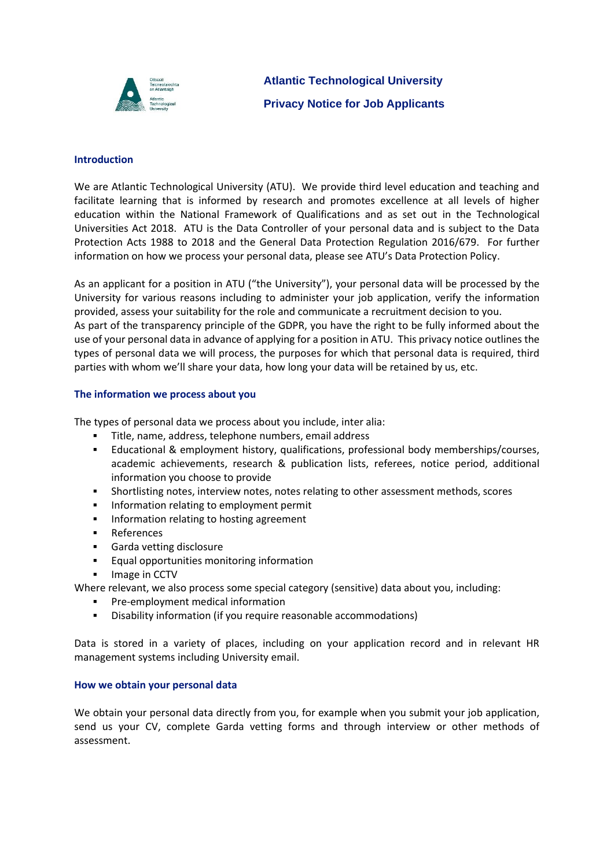

**Atlantic Technological University Privacy Notice for Job Applicants**

#### **Introduction**

We are Atlantic Technological University (ATU). We provide third level education and teaching and facilitate learning that is informed by research and promotes excellence at all levels of higher education within the National Framework of Qualifications and as set out in the Technological Universities Act 2018. ATU is the Data Controller of your personal data and is subject to the Data Protection Acts 1988 to 2018 and the General Data Protection Regulation 2016/679. For further information on how we process your personal data, please see ATU's Data Protection Policy.

As an applicant for a position in ATU ("the University"), your personal data will be processed by the University for various reasons including to administer your job application, verify the information provided, assess your suitability for the role and communicate a recruitment decision to you. As part of the transparency principle of the GDPR, you have the right to be fully informed about the use of your personal data in advance of applying for a position in ATU. This privacy notice outlines the types of personal data we will process, the purposes for which that personal data is required, third parties with whom we'll share your data, how long your data will be retained by us, etc.

## **The information we process about you**

The types of personal data we process about you include, inter alia:

- Title, name, address, telephone numbers, email address
- **Educational & employment history, qualifications, professional body memberships/courses,** academic achievements, research & publication lists, referees, notice period, additional information you choose to provide
- **·** Shortlisting notes, interview notes, notes relating to other assessment methods, scores
- **•** Information relating to employment permit
- **•** Information relating to hosting agreement
- References
- Garda vetting disclosure
- Equal opportunities monitoring information
- Image in CCTV

Where relevant, we also process some special category (sensitive) data about you, including:

- **•** Pre-employment medical information
- Disability information (if you require reasonable accommodations)

Data is stored in a variety of places, including on your application record and in relevant HR management systems including University email.

#### **How we obtain your personal data**

We obtain your personal data directly from you, for example when you submit your job application, send us your CV, complete Garda vetting forms and through interview or other methods of assessment.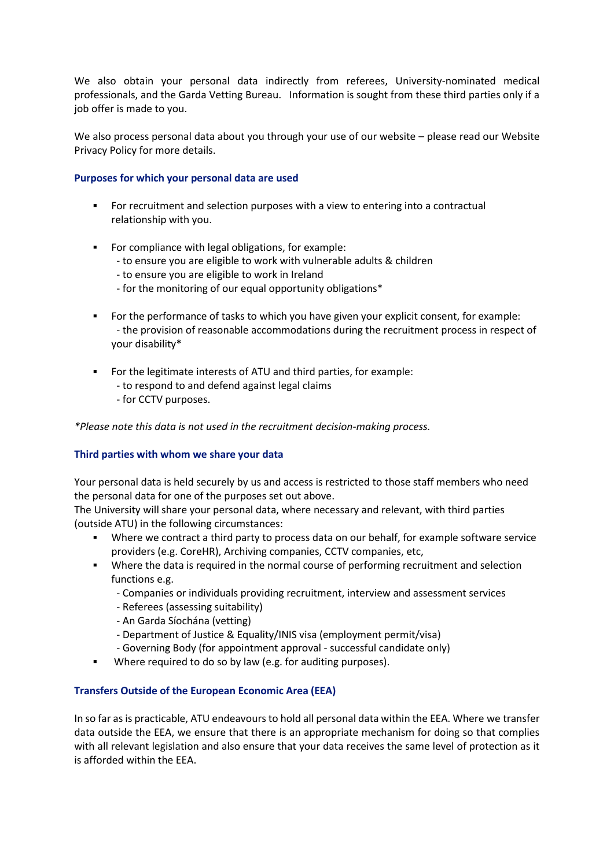We also obtain your personal data indirectly from referees, University-nominated medical professionals, and the Garda Vetting Bureau. Information is sought from these third parties only if a job offer is made to you.

We also process personal data about you through your use of our website – please read our Website Privacy Policy for more details.

## **Purposes for which your personal data are used**

- For recruitment and selection purposes with a view to entering into a contractual relationship with you.
- For compliance with legal obligations, for example:
	- to ensure you are eligible to work with vulnerable adults & children
	- to ensure you are eligible to work in Ireland
	- for the monitoring of our equal opportunity obligations\*
- For the performance of tasks to which you have given your explicit consent, for example: - the provision of reasonable accommodations during the recruitment process in respect of your disability\*
- For the legitimate interests of ATU and third parties, for example:
	- to respond to and defend against legal claims
	- for CCTV purposes.

*\*Please note this data is not used in the recruitment decision-making process.*

## **Third parties with whom we share your data**

Your personal data is held securely by us and access is restricted to those staff members who need the personal data for one of the purposes set out above.

The University will share your personal data, where necessary and relevant, with third parties (outside ATU) in the following circumstances:

- Where we contract a third party to process data on our behalf, for example software service providers (e.g. CoreHR), Archiving companies, CCTV companies, etc,
- **•** Where the data is required in the normal course of performing recruitment and selection functions e.g.
	- Companies or individuals providing recruitment, interview and assessment services
	- Referees (assessing suitability)
	- An Garda Síochána (vetting)
	- Department of Justice & Equality/INIS visa (employment permit/visa)
	- Governing Body (for appointment approval successful candidate only)
- Where required to do so by law (e.g. for auditing purposes).

## **Transfers Outside of the European Economic Area (EEA)**

In so far as is practicable, ATU endeavours to hold all personal data within the EEA. Where we transfer data outside the EEA, we ensure that there is an appropriate mechanism for doing so that complies with all relevant legislation and also ensure that your data receives the same level of protection as it is afforded within the EEA.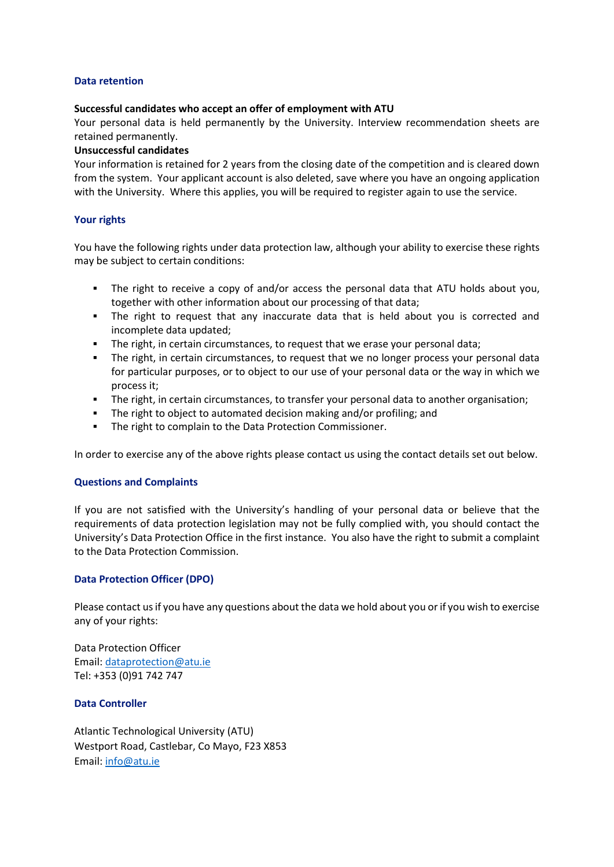### **Data retention**

#### **Successful candidates who accept an offer of employment with ATU**

Your personal data is held permanently by the University. Interview recommendation sheets are retained permanently.

#### **Unsuccessful candidates**

Your information is retained for 2 years from the closing date of the competition and is cleared down from the system. Your applicant account is also deleted, save where you have an ongoing application with the University. Where this applies, you will be required to register again to use the service.

### **Your rights**

You have the following rights under data protection law, although your ability to exercise these rights may be subject to certain conditions:

- The right to receive a copy of and/or access the personal data that ATU holds about you, together with other information about our processing of that data;
- The right to request that any inaccurate data that is held about you is corrected and incomplete data updated;
- The right, in certain circumstances, to request that we erase your personal data;
- The right, in certain circumstances, to request that we no longer process your personal data for particular purposes, or to object to our use of your personal data or the way in which we process it;
- The right, in certain circumstances, to transfer your personal data to another organisation;
- The right to object to automated decision making and/or profiling; and
- The right to complain to the Data Protection Commissioner.

In order to exercise any of the above rights please contact us using the contact details set out below.

## **Questions and Complaints**

If you are not satisfied with the University's handling of your personal data or believe that the requirements of data protection legislation may not be fully complied with, you should contact the University's Data Protection Office in the first instance. You also have the right to submit a complaint to the Data Protection Commission.

## **Data Protection Officer (DPO)**

Please contact us if you have any questions about the data we hold about you or if you wish to exercise any of your rights:

Data Protection Officer Email: [dataprotection@atu.ie](mailto:dpo@atu.ie) Tel: +353 (0)91 742 747

## **Data Controller**

Atlantic Technological University (ATU) Westport Road, Castlebar, Co Mayo, F23 X853 Email: [info@atu.ie](mailto:info@atu.ie)